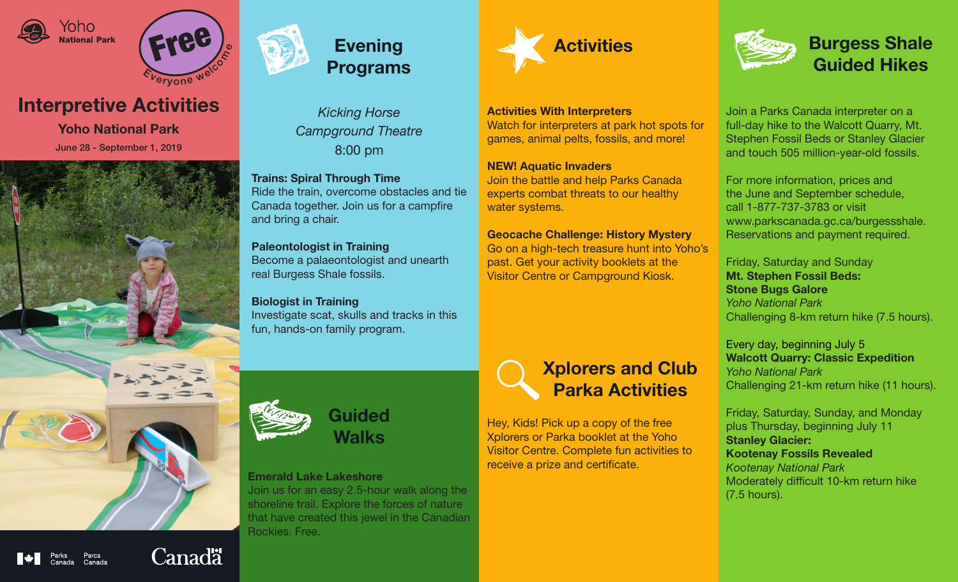





# Interpretive Activities

Yoho National Park June 28 - September 1, 2019





*Kicking Horse Campground Theatre* 8:00 pm

Trains: Spiral Through Time Ride the train, overcome obstacles and tie Canada together. Join us for a campfire and bring a chair.

Paleontologist in Training Become a palaeontologist and unearth real Burgess Shale fossils.

Biologist in Training Investigate scat, skulls and tracks in this fun, hands-on family program.



Activities With Interpreters Watch for interpreters at park hot spots for games, animal pelts, fossils, and more!

#### NEW! Aquatic Invaders

Join the battle and help Parks Canada experts combat threats to our healthy water systems.

### Geocache Challenge: History Mystery

Go on a high-tech treasure hunt into Yoho's past. Get your activity booklets at the Visitor Centre or Campground Kiosk.



Join a Parks Canada interpreter on a full-day hike to the Walcott Quarry, Mt. Stephen Fossil Beds or Stanley Glacier and touch 505 million-year-old fossils.

For more information, prices and the June and September schedule, call 1-877-737-3783 or visit www.parkscanada.gc.ca/burgessshale. Reservations and payment required.

Friday, Saturday and Sunday Mt. Stephen Fossil Beds: Stone Bugs Galore *Yoho National Park*  Challenging 8-km return hike (7.5 hours).

Every day, beginning July 5 Walcott Quarry: Classic Expedition *Yoho National Park* Challenging 21-km return hike (11 hours).

Friday, Saturday, Sunday, and Monday plus Thursday, beginning July 11 Stanley Glacier: Kootenay Fossils Revealed *Kootenay National Park* Moderately difficult 10-km return hike (7.5 hours).



Walks

### Emerald Lake Lakeshore

Join us for an easy 2.5-hour walk along the shoreline trail. Explore the forces of nature that have created this jewel in the Canadian Rockies. Free.

## Xplorers and Club Parka Activities

Hey, Kids! Pick up a copy of the free Xplorers or Parka booklet at the Yoho Visitor Centre. Complete fun activities to receive a prize and certificate.